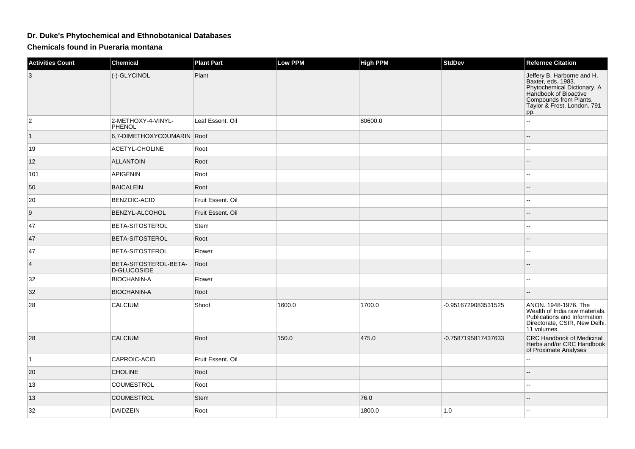## **Dr. Duke's Phytochemical and Ethnobotanical Databases**

**Chemicals found in Pueraria montana**

| <b>Activities Count</b> | <b>Chemical</b>                      | <b>Plant Part</b> | Low PPM | <b>High PPM</b> | <b>StdDev</b>       | <b>Refernce Citation</b>                                                                                                                                                 |
|-------------------------|--------------------------------------|-------------------|---------|-----------------|---------------------|--------------------------------------------------------------------------------------------------------------------------------------------------------------------------|
| 3                       | (-)-GLYCINOL                         | Plant             |         |                 |                     | Jeffery B. Harborne and H.<br>Baxter, eds. 1983.<br>Phytochemical Dictionary. A<br>Handbook of Bioactive<br>Compounds from Plants.<br>Taylor & Frost, London. 791<br>pp. |
| $\overline{c}$          | 2-METHOXY-4-VINYL-<br>PHENOL         | Leaf Essent. Oil  |         | 80600.0         |                     | --                                                                                                                                                                       |
| $\vert$ 1               | 6,7-DIMETHOXYCOUMARIN Root           |                   |         |                 |                     |                                                                                                                                                                          |
| 19                      | ACETYL-CHOLINE                       | Root              |         |                 |                     |                                                                                                                                                                          |
| 12                      | <b>ALLANTOIN</b>                     | Root              |         |                 |                     |                                                                                                                                                                          |
| 101                     | <b>APIGENIN</b>                      | Root              |         |                 |                     |                                                                                                                                                                          |
| 50                      | <b>BAICALEIN</b>                     | Root              |         |                 |                     |                                                                                                                                                                          |
| 20                      | <b>BENZOIC-ACID</b>                  | Fruit Essent, Oil |         |                 |                     |                                                                                                                                                                          |
| 9                       | BENZYL-ALCOHOL                       | Fruit Essent. Oil |         |                 |                     |                                                                                                                                                                          |
| 47                      | <b>BETA-SITOSTEROL</b>               | Stem              |         |                 |                     |                                                                                                                                                                          |
| 47                      | BETA-SITOSTEROL                      | Root              |         |                 |                     |                                                                                                                                                                          |
| 47                      | BETA-SITOSTEROL                      | Flower            |         |                 |                     | Ξ.                                                                                                                                                                       |
| $\overline{4}$          | BETA-SITOSTEROL-BETA-<br>D-GLUCOSIDE | Root              |         |                 |                     |                                                                                                                                                                          |
| 32                      | <b>BIOCHANIN-A</b>                   | Flower            |         |                 |                     | --                                                                                                                                                                       |
| 32                      | <b>BIOCHANIN-A</b>                   | Root              |         |                 |                     |                                                                                                                                                                          |
| 28                      | CALCIUM                              | Shoot             | 1600.0  | 1700.0          | -0.9516729083531525 | ANON. 1948-1976. The<br>Wealth of India raw materials.<br>Publications and Information<br>Directorate, CSIR, New Delhi.<br>11 volumes.                                   |
| 28                      | CALCIUM                              | Root              | 150.0   | 475.0           | -0.7587195817437633 | CRC Handbook of Medicinal<br>Herbs and/or CRC Handbook<br>of Proximate Analyses                                                                                          |
| $\overline{1}$          | CAPROIC-ACID                         | Fruit Essent. Oil |         |                 |                     |                                                                                                                                                                          |
| 20                      | <b>CHOLINE</b>                       | Root              |         |                 |                     |                                                                                                                                                                          |
| 13                      | COUMESTROL                           | Root              |         |                 |                     |                                                                                                                                                                          |
| 13                      | <b>COUMESTROL</b>                    | Stem              |         | 76.0            |                     |                                                                                                                                                                          |
| 32                      | <b>DAIDZEIN</b>                      | Root              |         | 1800.0          | 1.0                 |                                                                                                                                                                          |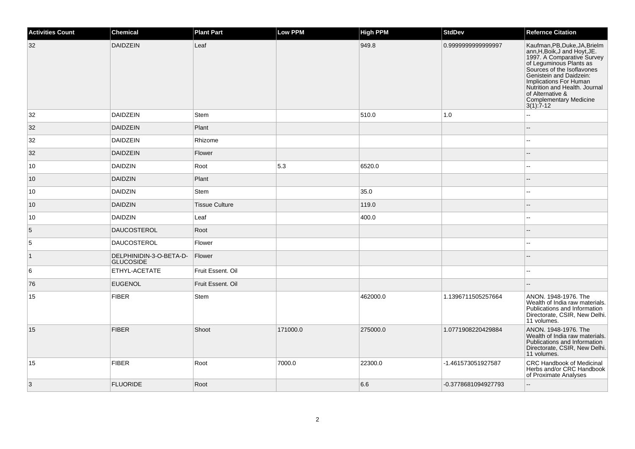| <b>Activities Count</b> | Chemical                                    | <b>Plant Part</b>     | <b>Low PPM</b> | <b>High PPM</b> | <b>StdDev</b>       | <b>Refernce Citation</b>                                                                                                                                                                                                                                                                                                                        |
|-------------------------|---------------------------------------------|-----------------------|----------------|-----------------|---------------------|-------------------------------------------------------------------------------------------------------------------------------------------------------------------------------------------------------------------------------------------------------------------------------------------------------------------------------------------------|
| 32                      | DAIDZEIN                                    | Leaf                  |                | 949.8           | 0.999999999999997   | Kaufman, PB, Duke, JA, Brielm<br>ann, H, Boik, J and Hoyt, JE.<br>1997. A Comparative Survey<br>1997. A Comparative Survey<br>of Leguminous Plants as<br>Sources of the Isoflavones<br>Genistein and Daidzein:<br>Implications For Human<br>Nutrition and Health. Journal<br>of Alternative &<br><b>Complementary Medicine</b><br>$3(1)$ : 7-12 |
| 32                      | DAIDZEIN                                    | <b>Stem</b>           |                | 510.0           | 1.0                 | --                                                                                                                                                                                                                                                                                                                                              |
| 32                      | <b>DAIDZEIN</b>                             | Plant                 |                |                 |                     |                                                                                                                                                                                                                                                                                                                                                 |
| 32                      | <b>DAIDZEIN</b>                             | Rhizome               |                |                 |                     | Щ,                                                                                                                                                                                                                                                                                                                                              |
| 32                      | <b>DAIDZEIN</b>                             | Flower                |                |                 |                     | $-$                                                                                                                                                                                                                                                                                                                                             |
| 10                      | <b>DAIDZIN</b>                              | Root                  | 5.3            | 6520.0          |                     |                                                                                                                                                                                                                                                                                                                                                 |
| 10                      | DAIDZIN                                     | Plant                 |                |                 |                     |                                                                                                                                                                                                                                                                                                                                                 |
| 10                      | <b>DAIDZIN</b>                              | Stem                  |                | 35.0            |                     | --                                                                                                                                                                                                                                                                                                                                              |
| 10                      | <b>DAIDZIN</b>                              | <b>Tissue Culture</b> |                | 119.0           |                     |                                                                                                                                                                                                                                                                                                                                                 |
| 10                      | DAIDZIN                                     | Leaf                  |                | 400.0           |                     | ۵.                                                                                                                                                                                                                                                                                                                                              |
| 5                       | <b>DAUCOSTEROL</b>                          | Root                  |                |                 |                     |                                                                                                                                                                                                                                                                                                                                                 |
| $\overline{5}$          | <b>DAUCOSTEROL</b>                          | Flower                |                |                 |                     | Щ,                                                                                                                                                                                                                                                                                                                                              |
| $\vert$ 1               | DELPHINIDIN-3-O-BETA-D-<br><b>GLUCOSIDE</b> | Flower                |                |                 |                     | --                                                                                                                                                                                                                                                                                                                                              |
| 6                       | ETHYL-ACETATE                               | Fruit Essent. Oil     |                |                 |                     | ۵.                                                                                                                                                                                                                                                                                                                                              |
| 76                      | <b>EUGENOL</b>                              | Fruit Essent. Oil     |                |                 |                     |                                                                                                                                                                                                                                                                                                                                                 |
| 15                      | FIBER                                       | Stem                  |                | 462000.0        | 1.1396711505257664  | ANON. 1948-1976. The<br>Wealth of India raw materials.<br>Publications and Information<br>Directorate, CSIR, New Delhi.<br>11 volumes.                                                                                                                                                                                                          |
| 15                      | <b>FIBER</b>                                | Shoot                 | 171000.0       | 275000.0        | 1.0771908220429884  | ANON. 1948-1976. The<br>Wealth of India raw materials.<br>Publications and Information<br>Directorate, CSIR, New Delhi.<br>11 volumes.                                                                                                                                                                                                          |
| 15                      | <b>FIBER</b>                                | Root                  | 7000.0         | 22300.0         | -1.461573051927587  | <b>CRC Handbook of Medicinal</b><br>Herbs and/or CRC Handbook<br>of Proximate Analyses                                                                                                                                                                                                                                                          |
| $\overline{3}$          | <b>FLUORIDE</b>                             | Root                  |                | 6.6             | -0.3778681094927793 | $\mathbb{L}^2$                                                                                                                                                                                                                                                                                                                                  |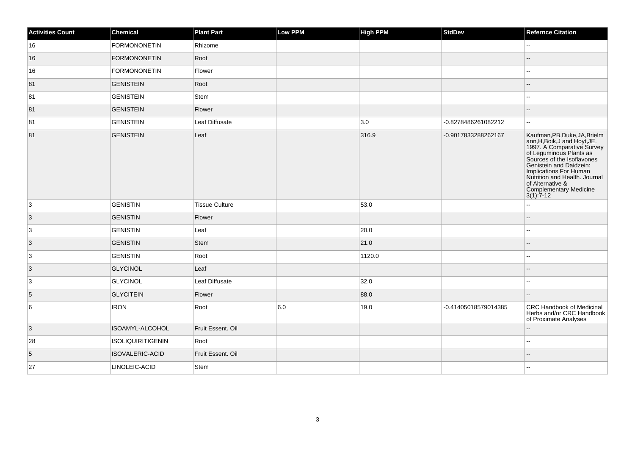| <b>Activities Count</b> | Chemical                 | <b>Plant Part</b>     | Low PPM | <b>High PPM</b> | <b>StdDev</b>        | <b>Refernce Citation</b>                                                                                                                                                                                                                                                                              |
|-------------------------|--------------------------|-----------------------|---------|-----------------|----------------------|-------------------------------------------------------------------------------------------------------------------------------------------------------------------------------------------------------------------------------------------------------------------------------------------------------|
| 16                      | <b>FORMONONETIN</b>      | Rhizome               |         |                 |                      | 44                                                                                                                                                                                                                                                                                                    |
| 16                      | <b>FORMONONETIN</b>      | Root                  |         |                 |                      |                                                                                                                                                                                                                                                                                                       |
| 16                      | <b>FORMONONETIN</b>      | Flower                |         |                 |                      | --                                                                                                                                                                                                                                                                                                    |
| 81                      | <b>GENISTEIN</b>         | Root                  |         |                 |                      | --                                                                                                                                                                                                                                                                                                    |
| 81                      | <b>GENISTEIN</b>         | Stem                  |         |                 |                      | L.                                                                                                                                                                                                                                                                                                    |
| 81                      | <b>GENISTEIN</b>         | Flower                |         |                 |                      |                                                                                                                                                                                                                                                                                                       |
| 81                      | <b>GENISTEIN</b>         | Leaf Diffusate        |         | 3.0             | -0.8278486261082212  | $\sim$                                                                                                                                                                                                                                                                                                |
| 81                      | <b>GENISTEIN</b>         | Leaf                  |         | 316.9           | -0.9017833288262167  | Kaufman, PB, Duke, JA, Brielm<br>xam.H.Boik,J and Hoyt.JE.<br>1997. A Comparative Survey<br>of Leguminous Plants as<br>Sources of the Isoflavones<br>Genistein and Daidzein:<br>Implications For Human<br>Nutrition and Health. Journal<br>of Alternative &<br>Complementary Medicine<br>$3(1): 7-12$ |
| 3                       | <b>GENISTIN</b>          | <b>Tissue Culture</b> |         | 53.0            |                      | --                                                                                                                                                                                                                                                                                                    |
| 3                       | <b>GENISTIN</b>          | Flower                |         |                 |                      |                                                                                                                                                                                                                                                                                                       |
| $\overline{3}$          | <b>GENISTIN</b>          | Leaf                  |         | 20.0            |                      | $-1$                                                                                                                                                                                                                                                                                                  |
| $\vert$ 3               | <b>GENISTIN</b>          | Stem                  |         | 21.0            |                      |                                                                                                                                                                                                                                                                                                       |
| 3                       | <b>GENISTIN</b>          | Root                  |         | 1120.0          |                      | Щ,                                                                                                                                                                                                                                                                                                    |
| $\vert$ 3               | <b>GLYCINOL</b>          | Leaf                  |         |                 |                      | н.                                                                                                                                                                                                                                                                                                    |
| $\overline{3}$          | <b>GLYCINOL</b>          | Leaf Diffusate        |         | 32.0            |                      | ц,                                                                                                                                                                                                                                                                                                    |
| 5                       | <b>GLYCITEIN</b>         | Flower                |         | 88.0            |                      | --                                                                                                                                                                                                                                                                                                    |
| 6                       | <b>IRON</b>              | Root                  | 6.0     | 19.0            | -0.41405018579014385 | <b>CRC Handbook of Medicinal</b><br>Herbs and/or CRC Handbook<br>of Proximate Analyses                                                                                                                                                                                                                |
| $\vert$ 3               | ISOAMYL-ALCOHOL          | Fruit Essent. Oil     |         |                 |                      |                                                                                                                                                                                                                                                                                                       |
| 28                      | <b>ISOLIQUIRITIGENIN</b> | Root                  |         |                 |                      | ۵.                                                                                                                                                                                                                                                                                                    |
| 5                       | ISOVALERIC-ACID          | Fruit Essent. Oil     |         |                 |                      |                                                                                                                                                                                                                                                                                                       |
| 27                      | LINOLEIC-ACID            | Stem                  |         |                 |                      |                                                                                                                                                                                                                                                                                                       |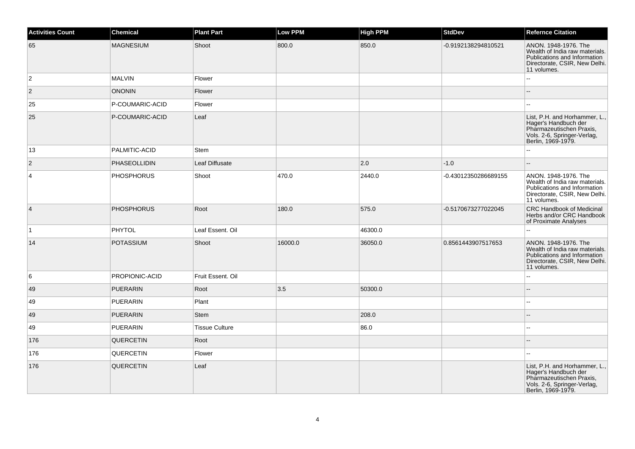| <b>Activities Count</b> | <b>Chemical</b>   | <b>Plant Part</b>     | <b>Low PPM</b> | <b>High PPM</b> | <b>StdDev</b>        | <b>Refernce Citation</b>                                                                                                               |
|-------------------------|-------------------|-----------------------|----------------|-----------------|----------------------|----------------------------------------------------------------------------------------------------------------------------------------|
| 65                      | <b>MAGNESIUM</b>  | Shoot                 | 800.0          | 850.0           | -0.9192138294810521  | ANON. 1948-1976. The<br>Wealth of India raw materials.<br>Publications and Information<br>Directorate, CSIR, New Delhi.<br>11 volumes. |
| $\overline{c}$          | <b>MALVIN</b>     | Flower                |                |                 |                      | $\overline{a}$                                                                                                                         |
| $\vert$ 2               | <b>ONONIN</b>     | Flower                |                |                 |                      |                                                                                                                                        |
| 25                      | P-COUMARIC-ACID   | Flower                |                |                 |                      |                                                                                                                                        |
| 25                      | P-COUMARIC-ACID   | Leaf                  |                |                 |                      | List, P.H. and Horhammer, L.,<br>Hager's Handbuch der<br>Pharmazeutischen Praxis,<br>Vols. 2-6, Springer-Verlag,<br>Berlin, 1969-1979. |
| 13                      | PALMITIC-ACID     | <b>Stem</b>           |                |                 |                      | Ξ.                                                                                                                                     |
| $\vert$ 2               | PHASEOLLIDIN      | Leaf Diffusate        |                | 2.0             | $-1.0$               |                                                                                                                                        |
| $\overline{4}$          | <b>PHOSPHORUS</b> | Shoot                 | 470.0          | 2440.0          | -0.43012350286689155 | ANON. 1948-1976. The<br>Wealth of India raw materials.<br>Publications and Information<br>Directorate, CSIR, New Delhi.<br>11 volumes. |
| $\vert 4 \vert$         | <b>PHOSPHORUS</b> | Root                  | 180.0          | 575.0           | -0.5170673277022045  | <b>CRC Handbook of Medicinal</b><br>Herbs and/or CRC Handbook<br>of Proximate Analyses                                                 |
| $\vert$ 1               | PHYTOL            | Leaf Essent. Oil      |                | 46300.0         |                      | L.                                                                                                                                     |
| 14                      | <b>POTASSIUM</b>  | Shoot                 | 16000.0        | 36050.0         | 0.8561443907517653   | ANON. 1948-1976. The<br>Wealth of India raw materials.<br>Publications and Information<br>Directorate, CSIR, New Delhi.<br>11 volumes. |
| 6                       | PROPIONIC-ACID    | Fruit Essent. Oil     |                |                 |                      |                                                                                                                                        |
| 49                      | <b>PUERARIN</b>   | Root                  | 3.5            | 50300.0         |                      |                                                                                                                                        |
| 49                      | <b>PUERARIN</b>   | Plant                 |                |                 |                      |                                                                                                                                        |
| 49                      | <b>PUERARIN</b>   | <b>Stem</b>           |                | 208.0           |                      |                                                                                                                                        |
| 49                      | <b>PUERARIN</b>   | <b>Tissue Culture</b> |                | 86.0            |                      |                                                                                                                                        |
| 176                     | QUERCETIN         | Root                  |                |                 |                      |                                                                                                                                        |
| 176                     | QUERCETIN         | Flower                |                |                 |                      | шш.                                                                                                                                    |
| 176                     | QUERCETIN         | Leaf                  |                |                 |                      | List, P.H. and Horhammer, L.,<br>Hager's Handbuch der<br>Pharmazeutischen Praxis,<br>Vols. 2-6, Springer-Verlag,<br>Berlin, 1969-1979. |